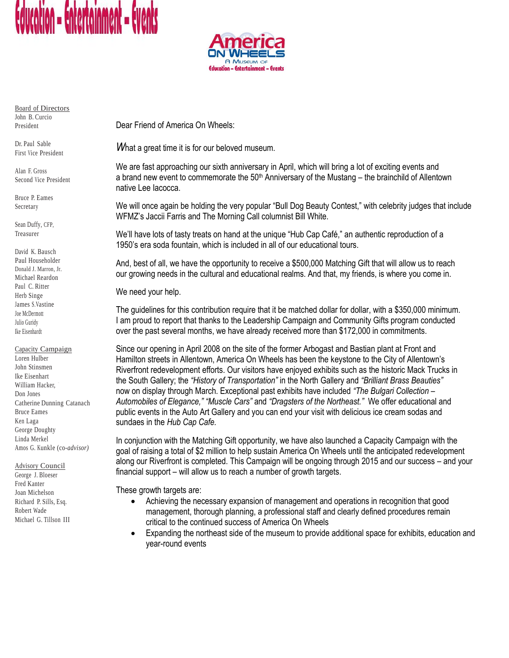



Board of Directors John B. Curcio President

Dr. Paul Sable First Vice President

Alan F. Gross Second Vice President

Bruce P. Eames Secretary

Sean Duffy, CFP, Treasurer

David K. Bausch Paul Householder Donald J. Marron, Jr. Michael Reardon Paul C. Ritter Herb Singe James S.Vastine Joe McDermott Julio Guridy Ike Eisenhardt

Capacity Campaign

Loren Hulber John Stinsmen Ike Eisenhart William Hacker, Don Jones Catherine Dunning Catanach Bruce Eames Ken Laga George Doughty Linda Merkel Amos G. Kunkle (co*-advisor)*

Advisory Council George J. Bloeser Fred Kanter Joan Michelson Richard P. Sills, Esq. Robert Wade Michael G. Tillson III Dear Friend of America On Wheels:

*W*hat a great time it is for our beloved museum.

We are fast approaching our sixth anniversary in April, which will bring a lot of exciting events and a brand new event to commemorate the  $50<sup>th</sup>$  Anniversary of the Mustang – the brainchild of Allentown native Lee Iacocca.

We will once again be holding the very popular "Bull Dog Beauty Contest," with celebrity judges that include WFMZ's Jaccii Farris and The Morning Call columnist Bill White.

We'll have lots of tasty treats on hand at the unique "Hub Cap Café," an authentic reproduction of a 1950's era soda fountain, which is included in all of our educational tours.

And, best of all, we have the opportunity to receive a \$500,000 Matching Gift that will allow us to reach our growing needs in the cultural and educational realms. And that, my friends, is where you come in.

We need your help.

The guidelines for this contribution require that it be matched dollar for dollar, with a \$350,000 minimum. I am proud to report that thanks to the Leadership Campaign and Community Gifts program conducted over the past several months, we have already received more than \$172,000 in commitments.

Since our opening in April 2008 on the site of the former Arbogast and Bastian plant at Front and Hamilton streets in Allentown, America On Wheels has been the keystone to the City of Allentown's Riverfront redevelopment efforts. Our visitors have enjoyed exhibits such as the historic Mack Trucks in the South Gallery; the *"History of Transportation"* in the North Gallery and *"Brilliant Brass Beauties"* now on display through March. Exceptional past exhibits have included *"The Bulgari Collection – Automobiles of Elegance," "Muscle Cars"* and *"Dragsters of the Northeast."* We offer educational and public events in the Auto Art Gallery and you can end your visit with delicious ice cream sodas and sundaes in the *Hub Cap Cafe.*

In conjunction with the Matching Gift opportunity, we have also launched a Capacity Campaign with the goal of raising a total of \$2 million to help sustain America On Wheels until the anticipated redevelopment along our Riverfront is completed. This Campaign will be ongoing through 2015 and our success – and your financial support – will allow us to reach a number of growth targets.

These growth targets are:

- Achieving the necessary expansion of management and operations in recognition that good management, thorough planning, a professional staff and clearly defined procedures remain critical to the continued success of America On Wheels
- Expanding the northeast side of the museum to provide additional space for exhibits, education and year-round events